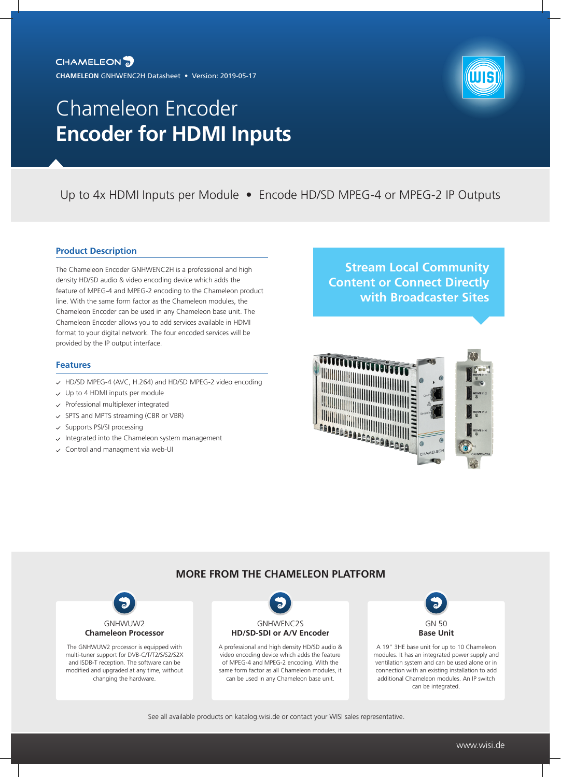

Up to 4x HDMI Inputs per Module • Encode HD/SD MPEG-4 or MPEG-2 IP Outputs

## **Product Description**

The Chameleon Encoder GNHWENC2H is a professional and high density HD/SD audio & video encoding device which adds the feature of MPEG-4 and MPEG-2 encoding to the Chameleon product line. With the same form factor as the Chameleon modules, the Chameleon Encoder can be used in any Chameleon base unit. The Chameleon Encoder allows you to add services available in HDMI format to your digital network. The four encoded services will be provided by the IP output interface.

### **Features**

- HD/SD MPEG-4 (AVC, H.264) and HD/SD MPEG-2 video encoding
- $\vee$  Up to 4 HDMI inputs per module
- $\checkmark$  Professional multiplexer integrated
- $\checkmark$  SPTS and MPTS streaming (CBR or VBR)
- $\checkmark$  Supports PSI/SI processing
- $\backsim$  Integrated into the Chameleon system management
- $\checkmark$  Control and managment via web-UI

# **Stream Local Community Content or Connect Directly with Broadcaster Sites**



## **MORE FROM THE CHAMELEON PLATFORM**



The GNHWUW2 processor is equipped with multi-tuner support for DVB-C/T/T2/S/S2/S2X and ISDB-T reception. The software can be modified and upgraded at any time, without changing the hardware.



A professional and high density HD/SD audio & video encoding device which adds the feature of MPEG-4 and MPEG-2 encoding. With the same form factor as all Chameleon modules, it can be used in any Chameleon base unit.

GN 50 **Base Unit**

A 19" 3HE base unit for up to 10 Chameleon modules. It has an integrated power supply and ventilation system and can be used alone or in connection with an existing installation to add additional Chameleon modules. An IP switch can be integrated.

### See all available products on katalog.wisi.de or contact your WISI sales representative.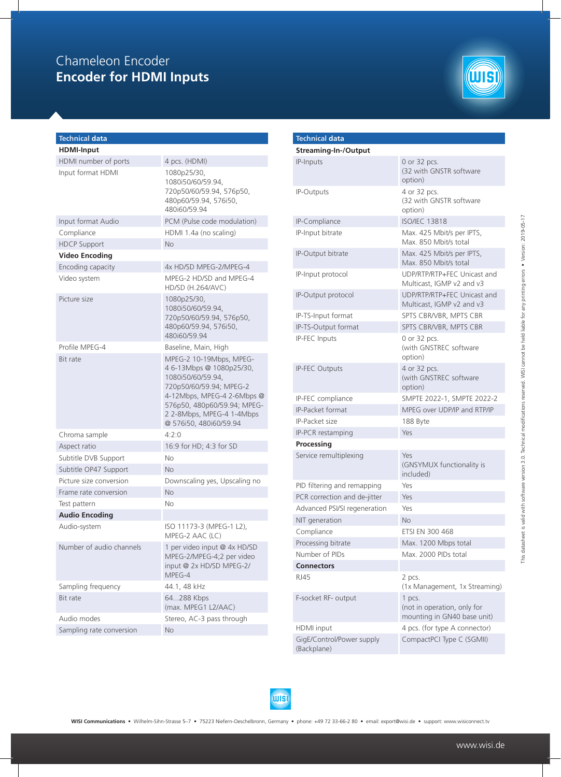

| <b>Technical data</b>    |                                                                                                                                                                                                                        |
|--------------------------|------------------------------------------------------------------------------------------------------------------------------------------------------------------------------------------------------------------------|
| <b>HDMI-Input</b>        |                                                                                                                                                                                                                        |
| HDMI number of ports     | 4 pcs. (HDMI)                                                                                                                                                                                                          |
| Input format HDMI        | 1080p25/30,<br>1080i50/60/59.94,<br>720p50/60/59.94, 576p50,<br>480p60/59.94, 576i50,<br>480i60/59.94                                                                                                                  |
| Input format Audio       | PCM (Pulse code modulation)                                                                                                                                                                                            |
| Compliance               | HDMI 1.4a (no scaling)                                                                                                                                                                                                 |
| <b>HDCP Support</b>      | No                                                                                                                                                                                                                     |
| <b>Video Encoding</b>    |                                                                                                                                                                                                                        |
| Encoding capacity        | 4x HD/SD MPEG-2/MPEG-4                                                                                                                                                                                                 |
| Video system             | MPEG-2 HD/SD and MPEG-4<br>HD/SD (H.264/AVC)                                                                                                                                                                           |
| Picture size             | 1080p25/30,<br>1080i50/60/59.94,<br>720p50/60/59.94, 576p50,<br>480p60/59.94, 576i50,<br>480i60/59.94                                                                                                                  |
| Profile MPFG-4           | Baseline, Main, High                                                                                                                                                                                                   |
| <b>Bit rate</b>          | MPEG-2 10-19Mbps, MPEG-<br>46-13Mbps @ 1080p25/30,<br>1080i50/60/59.94,<br>720p50/60/59.94; MPEG-2<br>4-12Mbps, MPEG-4 2-6Mbps @<br>576p50, 480p60/59.94; MPEG-<br>2 2-8Mbps, MPEG-4 1-4Mbps<br>@ 576i50, 480i60/59.94 |
| Chroma sample            | 4:2:0                                                                                                                                                                                                                  |
| Aspect ratio             | 16:9 for HD; 4:3 for SD                                                                                                                                                                                                |
| Subtitle DVB Support     | Nο                                                                                                                                                                                                                     |
| Subtitle OP47 Support    | No                                                                                                                                                                                                                     |
| Picture size conversion  | Downscaling yes, Upscaling no                                                                                                                                                                                          |
| Frame rate conversion    | <b>No</b>                                                                                                                                                                                                              |
| Test pattern             | No                                                                                                                                                                                                                     |
| <b>Audio Encoding</b>    |                                                                                                                                                                                                                        |
| Audio-system             | ISO 11173-3 (MPEG-1 L2),<br>MPEG-2 AAC (LC)                                                                                                                                                                            |
| Number of audio channels | 1 per video input @ 4x HD/SD<br>MPEG-2/MPEG-4;2 per video<br>input @ 2x HD/SD MPEG-2/<br>MPEG-4                                                                                                                        |
| Sampling frequency       | 44.1, 48 kHz                                                                                                                                                                                                           |
| Bit rate                 | 64288 Kbps<br>(max. MPEG1 L2/AAC)                                                                                                                                                                                      |
| Audio modes              | Stereo, AC-3 pass through                                                                                                                                                                                              |
| Sampling rate conversion | No                                                                                                                                                                                                                     |

| <b>Technical data</b>                    |                                                                      |
|------------------------------------------|----------------------------------------------------------------------|
| <b>Streaming-In-/Output</b>              |                                                                      |
| <b>IP-Inputs</b>                         | 0 or 32 pcs.<br>(32 with GNSTR software<br>option)                   |
| <b>IP-Outputs</b>                        | 4 or 32 pcs.<br>(32 with GNSTR software<br>option)                   |
| IP-Compliance                            | <b>ISO/IEC 13818</b>                                                 |
| IP-Input bitrate                         | Max. 425 Mbit/s per IPTS,<br>Max. 850 Mbit/s total                   |
| IP-Output bitrate                        | Max. 425 Mbit/s per IPTS.<br>Max. 850 Mbit/s total                   |
| IP-Input protocol                        | UDP/RTP/RTP+FEC Unicast and<br>Multicast, IGMP v2 and v3             |
| IP-Output protocol                       | UDP/RTP/RTP+FEC Unicast and<br>Multicast, IGMP v2 and v3             |
| IP-TS-Input format                       | SPTS CBR/VBR, MPTS CBR                                               |
| IP-TS-Output format                      | SPTS CBR/VBR, MPTS CBR                                               |
| IP-FEC Inputs                            | 0 or 32 pcs.<br>(with GNSTREC software<br>option)                    |
| <b>IP-FEC Outputs</b>                    | 4 or 32 pcs.<br>(with GNSTREC software<br>option)                    |
| IP-FEC compliance                        | SMPTE 2022-1, SMPTE 2022-2                                           |
| <b>IP-Packet format</b>                  | MPEG over UDP/IP and RTP/IP                                          |
| IP-Packet size                           | 188 Byte                                                             |
| IP-PCR restamping                        | Yes                                                                  |
| Processing                               |                                                                      |
| Service remultiplexing                   | Yes<br>(GNSYMUX functionality is<br>included)                        |
| PID filtering and remapping              | Yes                                                                  |
| PCR correction and de-jitter             | Yes                                                                  |
| Advanced PSI/SI regeneration             | Yes                                                                  |
| NIT generation                           | <b>No</b>                                                            |
| Compliance                               | ETSI EN 300 468                                                      |
| Processing bitrate                       | Max. 1200 Mbps total                                                 |
| Number of PIDs                           | Max. 2000 PIDs total                                                 |
| <b>Connectors</b>                        |                                                                      |
| RJ45                                     | 2 pcs.<br>(1x Management, 1x Streaming)                              |
| F-socket RF- output                      | 1 pcs.<br>(not in operation, only for<br>mounting in GN40 base unit) |
| HDMI input                               | 4 pcs. (for type A connector)                                        |
| GigE/Control/Power supply<br>(Backplane) | CompactPCI Type C (SGMII)                                            |

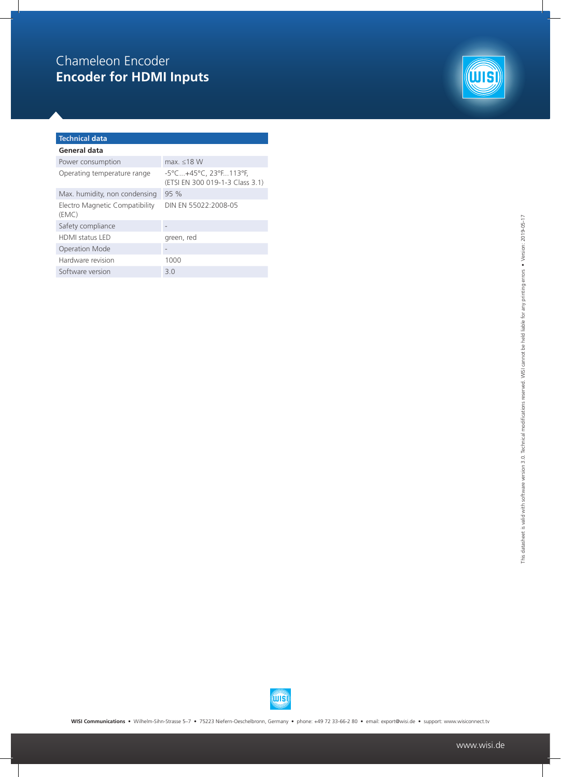

## **Technical data General data**  Power consumption max. ≤18 W Operating temperature range -5°C...+45°C, 23°F...113°F, (ETSI EN 300 019-1-3 Class 3.1) Max. humidity Electro Magne (EMC) Safety complia

Software version 3.0

| Max. humidity, non condensing           | 95%                  |
|-----------------------------------------|----------------------|
| Electro Magnetic Compatibility<br>(EMC) | DIN EN 55022:2008-05 |
| Safety compliance                       |                      |
| <b>HDMI</b> status LED                  | green, red           |
| Operation Mode                          |                      |
| Hardware revision                       | 1 NNN                |



**WISI Communications** • Wilhelm-Sihn-Strasse 5–7 • 75223 Niefern-Oeschelbronn, Germany • phone: +49 72 33-66-2 80 • email: export@wisi.de • support: www.wisiconnect.tv